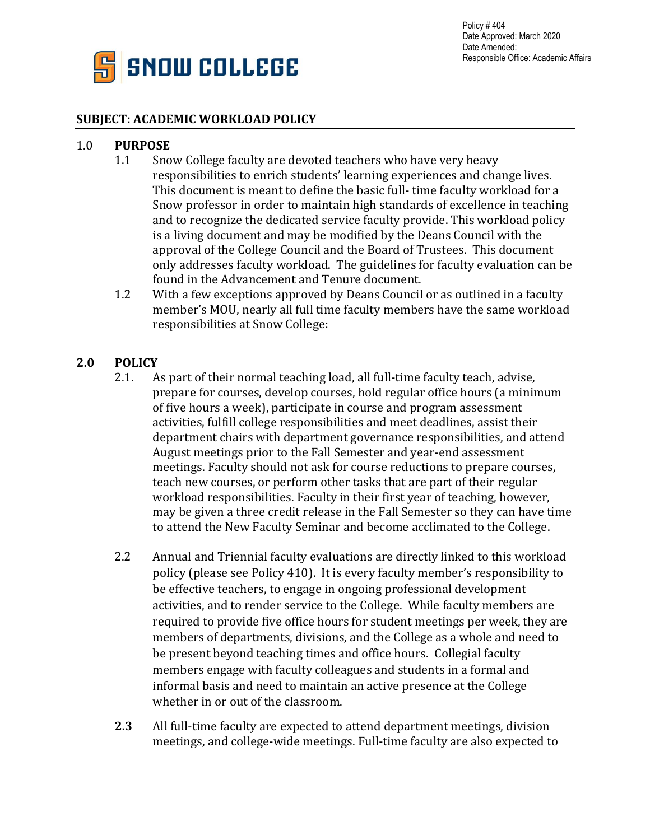

## **SUBJECT: ACADEMIC WORKLOAD POLICY**

### 1.0 **PURPOSE**

- 1.1 Snow College faculty are devoted teachers who have very heavy responsibilities to enrich students' learning experiences and change lives. This document is meant to define the basic full- time faculty workload for a Snow professor in order to maintain high standards of excellence in teaching and to recognize the dedicated service faculty provide. This workload policy is a living document and may be modified by the Deans Council with the approval of the College Council and the Board of Trustees. This document only addresses faculty workload. The guidelines for faculty evaluation can be found in the Advancement and Tenure document.
- 1.2 With a few exceptions approved by Deans Council or as outlined in a faculty member's MOU, nearly all full time faculty members have the same workload responsibilities at Snow College:

# **2.0 POLICY**

- 2.1. As part of their normal teaching load, all full-time faculty teach, advise, prepare for courses, develop courses, hold regular office hours (a minimum of five hours a week), participate in course and program assessment activities, fulfill college responsibilities and meet deadlines, assist their department chairs with department governance responsibilities, and attend August meetings prior to the Fall Semester and year-end assessment meetings. Faculty should not ask for course reductions to prepare courses, teach new courses, or perform other tasks that are part of their regular workload responsibilities. Faculty in their first year of teaching, however, may be given a three credit release in the Fall Semester so they can have time to attend the New Faculty Seminar and become acclimated to the College.
- 2.2 Annual and Triennial faculty evaluations are directly linked to this workload policy (please see Policy 410). It is every faculty member's responsibility to be effective teachers, to engage in ongoing professional development activities, and to render service to the College. While faculty members are required to provide five office hours for student meetings per week, they are members of departments, divisions, and the College as a whole and need to be present beyond teaching times and office hours. Collegial faculty members engage with faculty colleagues and students in a formal and informal basis and need to maintain an active presence at the College whether in or out of the classroom.
- **2.3** All full-time faculty are expected to attend department meetings, division meetings, and college-wide meetings. Full-time faculty are also expected to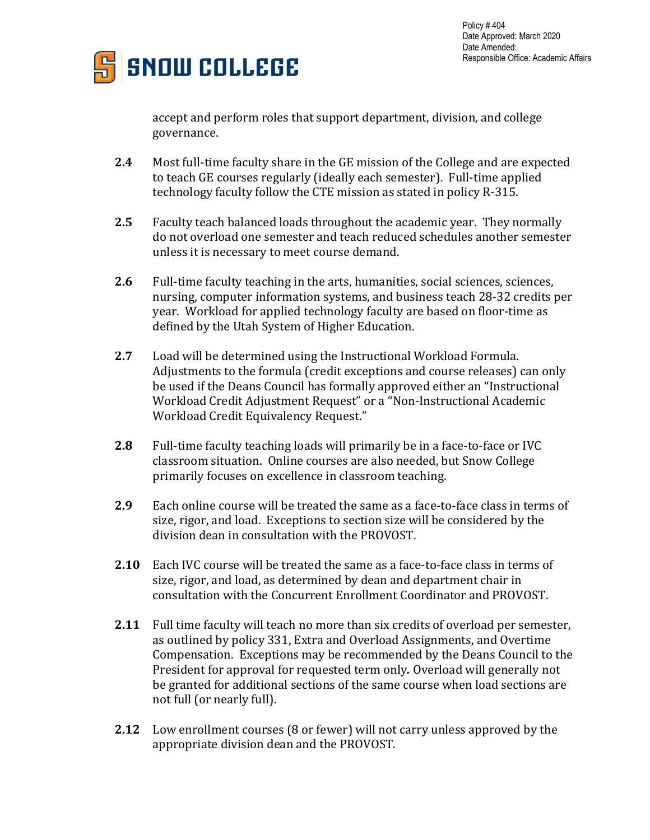



accept and perform roles that support department, division, and college governance.

- **2.4** Most full-time faculty share in the GE mission of the College and are expected to teach GE courses regularly (ideally each semester). Full-time applied technology faculty follow the CTE mission as stated in policy R-315.
- **2.5** Faculty teach balanced loads throughout the academic year. They normally do not overload one semester and teach reduced schedules another semester unless it is necessary to meet course demand.
- **2.6** Full-time faculty teaching in the arts, humanities, social sciences, sciences, nursing, computer information systems, and business teach 28-32 credits per year. Workload for applied technology faculty are based on floor-time as defined by the Utah System of Higher Education.
- **2.7** Load will be determined using the Instructional Workload Formula. Adjustments to the formula (credit exceptions and course releases) can only be used if the Deans Council has formally approved either an "Instructional Workload Credit Adjustment Request" or a "Non-Instructional Academic Workload Credit Equivalency Request."
- **2.8** Full-time faculty teaching loads will primarily be in a face-to-face or IVC classroom situation. Online courses are also needed, but Snow College primarily focuses on excellence in classroom teaching.
- **2.9** Each online course will be treated the same as a face-to-face class in terms of size, rigor, and load. Exceptions to section size will be considered by the division dean in consultation with the PROVOST.
- **2.10** Each IVC course will be treated the same as a face-to-face class in terms of size, rigor, and load, as determined by dean and department chair in consultation with the Concurrent Enrollment Coordinator and PROVOST.
- **2.11** Full time faculty will teach no more than six credits of overload per semester, as outlined by policy 331, Extra and Overload Assignments, and Overtime Compensation. Exceptions may be recommended by the Deans Council to the President for approval for requested term only*.* Overload will generally not be granted for additional sections of the same course when load sections are not full (or nearly full).
- **2.12** Low enrollment courses (8 or fewer) will not carry unless approved by the appropriate division dean and the PROVOST.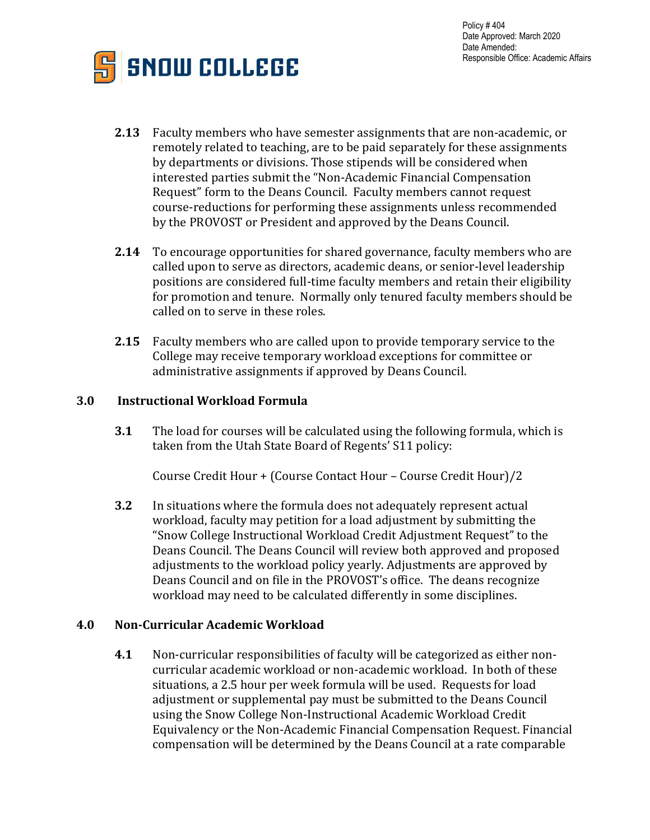Policy # 404 Date Approved: March 2020 Date Amended: Responsible Office: Academic Affairs



- **2.13** Faculty members who have semester assignments that are non-academic, or remotely related to teaching, are to be paid separately for these assignments by departments or divisions. Those stipends will be considered when interested parties submit the "Non-Academic Financial Compensation Request" form to the Deans Council. Faculty members cannot request course-reductions for performing these assignments unless recommended by the PROVOST or President and approved by the Deans Council.
- **2.14** To encourage opportunities for shared governance, faculty members who are called upon to serve as directors, academic deans, or senior-level leadership positions are considered full-time faculty members and retain their eligibility for promotion and tenure. Normally only tenured faculty members should be called on to serve in these roles.
- **2.15** Faculty members who are called upon to provide temporary service to the College may receive temporary workload exceptions for committee or administrative assignments if approved by Deans Council.

### **3.0 Instructional Workload Formula**

**3.1** The load for courses will be calculated using the following formula, which is taken from the Utah State Board of Regents' S11 policy:

Course Credit Hour + (Course Contact Hour – Course Credit Hour)/2

**3.2** In situations where the formula does not adequately represent actual workload, faculty may petition for a load adjustment by submitting the "Snow College Instructional Workload Credit Adjustment Request" to the Deans Council. The Deans Council will review both approved and proposed adjustments to the workload policy yearly. Adjustments are approved by Deans Council and on file in the PROVOST's office. The deans recognize workload may need to be calculated differently in some disciplines.

# **4.0 Non-Curricular Academic Workload**

**4.1** Non-curricular responsibilities of faculty will be categorized as either noncurricular academic workload or non-academic workload. In both of these situations, a 2.5 hour per week formula will be used. Requests for load adjustment or supplemental pay must be submitted to the Deans Council using the Snow College Non-Instructional Academic Workload Credit Equivalency or the Non-Academic Financial Compensation Request. Financial compensation will be determined by the Deans Council at a rate comparable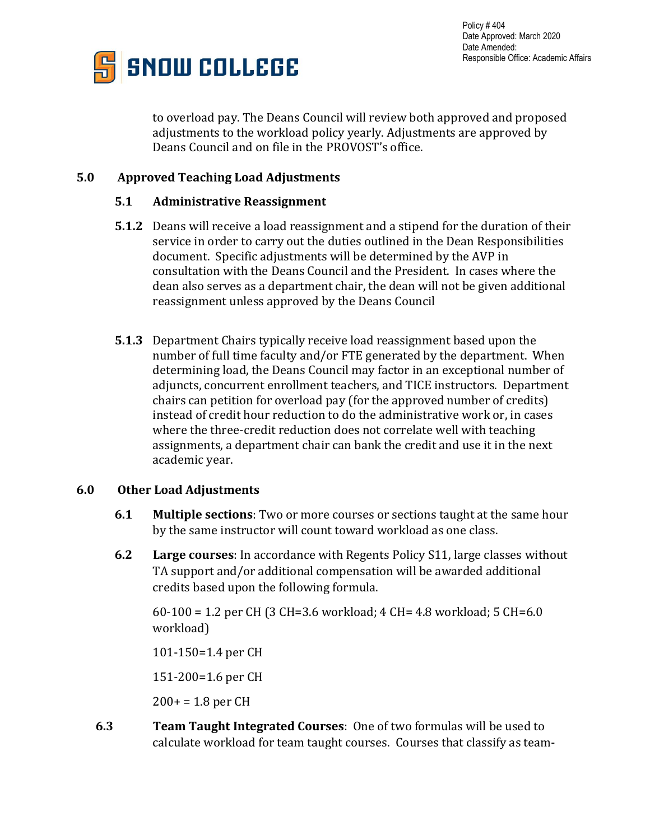

Policy # 404 Date Approved: March 2020 Date Amended: Responsible Office: Academic Affairs

to overload pay. The Deans Council will review both approved and proposed adjustments to the workload policy yearly. Adjustments are approved by Deans Council and on file in the PROVOST's office.

## **5.0 Approved Teaching Load Adjustments**

#### **5.1 Administrative Reassignment**

- **5.1.2** Deans will receive a load reassignment and a stipend for the duration of their service in order to carry out the duties outlined in the Dean Responsibilities document. Specific adjustments will be determined by the AVP in consultation with the Deans Council and the President. In cases where the dean also serves as a department chair, the dean will not be given additional reassignment unless approved by the Deans Council
- **5.1.3** Department Chairs typically receive load reassignment based upon the number of full time faculty and/or FTE generated by the department. When determining load, the Deans Council may factor in an exceptional number of adjuncts, concurrent enrollment teachers, and TICE instructors. Department chairs can petition for overload pay (for the approved number of credits) instead of credit hour reduction to do the administrative work or, in cases where the three-credit reduction does not correlate well with teaching assignments, a department chair can bank the credit and use it in the next academic year.

#### **6.0 Other Load Adjustments**

- **6.1 Multiple sections**: Two or more courses or sections taught at the same hour by the same instructor will count toward workload as one class.
- **6.2 Large courses**: In accordance with Regents Policy S11, large classes without TA support and/or additional compensation will be awarded additional credits based upon the following formula.

60-100 = 1.2 per CH (3 CH=3.6 workload; 4 CH= 4.8 workload; 5 CH=6.0 workload)

101-150=1.4 per CH

151-200=1.6 per CH

 $200+ = 1.8$  per CH

**6.3 Team Taught Integrated Courses**: One of two formulas will be used to calculate workload for team taught courses. Courses that classify as team-